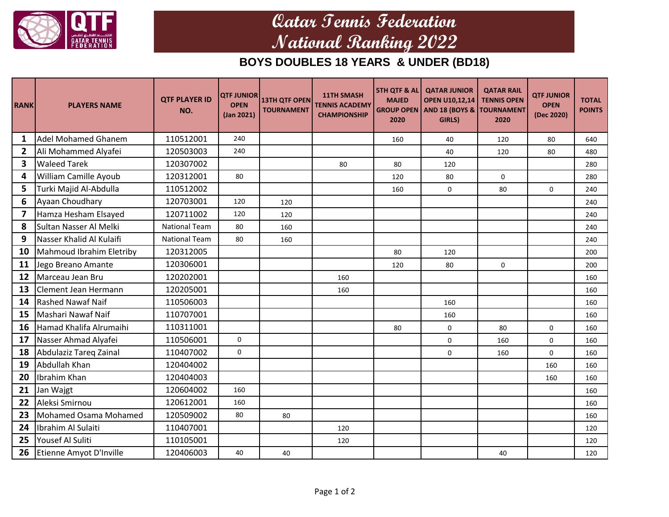

## **Qatar Tennis Federation National Ranking 2022**

## **BOYS DOUBLES 18 YEARS & UNDER (BD18)**

| <b>RANK</b>  | <b>PLAYERS NAME</b>        | <b>QTF PLAYER ID</b><br>NO. | <b>QTF JUNIOR</b><br><b>OPEN</b><br>(Jan 2021) | <b>13TH QTF OPEN</b><br><b>TOURNAMENT</b> | <b>11TH SMASH</b><br><b>TENNIS ACADEMY</b><br><b>CHAMPIONSHIP</b> | <b>5TH QTF &amp; ALI</b><br><b>MAJED</b><br><b>GROUP OPEN</b><br>2020 | <b>QATAR JUNIOR</b><br><b>OPEN U10,12,14</b><br>AND 18 (BOYS & TOURNAMENT<br>GIRLS) | <b>QATAR RAIL</b><br><b>TENNIS OPEN</b><br>2020 | <b>QTF JUNIOR</b><br><b>OPEN</b><br>(Dec 2020) | <b>TOTAL</b><br><b>POINTS</b> |
|--------------|----------------------------|-----------------------------|------------------------------------------------|-------------------------------------------|-------------------------------------------------------------------|-----------------------------------------------------------------------|-------------------------------------------------------------------------------------|-------------------------------------------------|------------------------------------------------|-------------------------------|
| $\mathbf{1}$ | <b>Adel Mohamed Ghanem</b> | 110512001                   | 240                                            |                                           |                                                                   | 160                                                                   | 40                                                                                  | 120                                             | 80                                             | 640                           |
| $\mathbf{2}$ | Ali Mohammed Alyafei       | 120503003                   | 240                                            |                                           |                                                                   |                                                                       | 40                                                                                  | 120                                             | 80                                             | 480                           |
| 3            | <b>Waleed Tarek</b>        | 120307002                   |                                                |                                           | 80                                                                | 80                                                                    | 120                                                                                 |                                                 |                                                | 280                           |
| 4            | William Camille Ayoub      | 120312001                   | 80                                             |                                           |                                                                   | 120                                                                   | 80                                                                                  | 0                                               |                                                | 280                           |
| 5            | Turki Majid Al-Abdulla     | 110512002                   |                                                |                                           |                                                                   | 160                                                                   | 0                                                                                   | 80                                              | 0                                              | 240                           |
| 6            | Ayaan Choudhary            | 120703001                   | 120                                            | 120                                       |                                                                   |                                                                       |                                                                                     |                                                 |                                                | 240                           |
| 7            | Hamza Hesham Elsayed       | 120711002                   | 120                                            | 120                                       |                                                                   |                                                                       |                                                                                     |                                                 |                                                | 240                           |
| 8            | Sultan Nasser Al Melki     | <b>National Team</b>        | 80                                             | 160                                       |                                                                   |                                                                       |                                                                                     |                                                 |                                                | 240                           |
| 9            | Nasser Khalid Al Kulaifi   | <b>National Team</b>        | 80                                             | 160                                       |                                                                   |                                                                       |                                                                                     |                                                 |                                                | 240                           |
| 10           | Mahmoud Ibrahim Eletriby   | 120312005                   |                                                |                                           |                                                                   | 80                                                                    | 120                                                                                 |                                                 |                                                | 200                           |
| 11           | Jego Breano Amante         | 120306001                   |                                                |                                           |                                                                   | 120                                                                   | 80                                                                                  | 0                                               |                                                | 200                           |
| 12           | Marceau Jean Bru           | 120202001                   |                                                |                                           | 160                                                               |                                                                       |                                                                                     |                                                 |                                                | 160                           |
| 13           | Clement Jean Hermann       | 120205001                   |                                                |                                           | 160                                                               |                                                                       |                                                                                     |                                                 |                                                | 160                           |
| 14           | <b>Rashed Nawaf Naif</b>   | 110506003                   |                                                |                                           |                                                                   |                                                                       | 160                                                                                 |                                                 |                                                | 160                           |
| 15           | Mashari Nawaf Naif         | 110707001                   |                                                |                                           |                                                                   |                                                                       | 160                                                                                 |                                                 |                                                | 160                           |
| 16           | Hamad Khalifa Alrumaihi    | 110311001                   |                                                |                                           |                                                                   | 80                                                                    | 0                                                                                   | 80                                              | $\Omega$                                       | 160                           |
| 17           | Nasser Ahmad Alyafei       | 110506001                   | $\mathsf{O}\xspace$                            |                                           |                                                                   |                                                                       | $\mathbf 0$                                                                         | 160                                             | $\mathbf 0$                                    | 160                           |
| 18           | Abdulaziz Tareg Zainal     | 110407002                   | $\mathsf{O}\xspace$                            |                                           |                                                                   |                                                                       | $\mathbf 0$                                                                         | 160                                             | 0                                              | 160                           |
| 19           | Abdullah Khan              | 120404002                   |                                                |                                           |                                                                   |                                                                       |                                                                                     |                                                 | 160                                            | 160                           |
| 20           | Ibrahim Khan               | 120404003                   |                                                |                                           |                                                                   |                                                                       |                                                                                     |                                                 | 160                                            | 160                           |
| 21           | Jan Wajgt                  | 120604002                   | 160                                            |                                           |                                                                   |                                                                       |                                                                                     |                                                 |                                                | 160                           |
| 22           | Aleksi Smirnou             | 120612001                   | 160                                            |                                           |                                                                   |                                                                       |                                                                                     |                                                 |                                                | 160                           |
| 23           | Mohamed Osama Mohamed      | 120509002                   | 80                                             | 80                                        |                                                                   |                                                                       |                                                                                     |                                                 |                                                | 160                           |
| 24           | Ibrahim Al Sulaiti         | 110407001                   |                                                |                                           | 120                                                               |                                                                       |                                                                                     |                                                 |                                                | 120                           |
| 25           | Yousef Al Suliti           | 110105001                   |                                                |                                           | 120                                                               |                                                                       |                                                                                     |                                                 |                                                | 120                           |
| 26           | Etienne Amyot D'Inville    | 120406003                   | 40                                             | 40                                        |                                                                   |                                                                       |                                                                                     | 40                                              |                                                | 120                           |